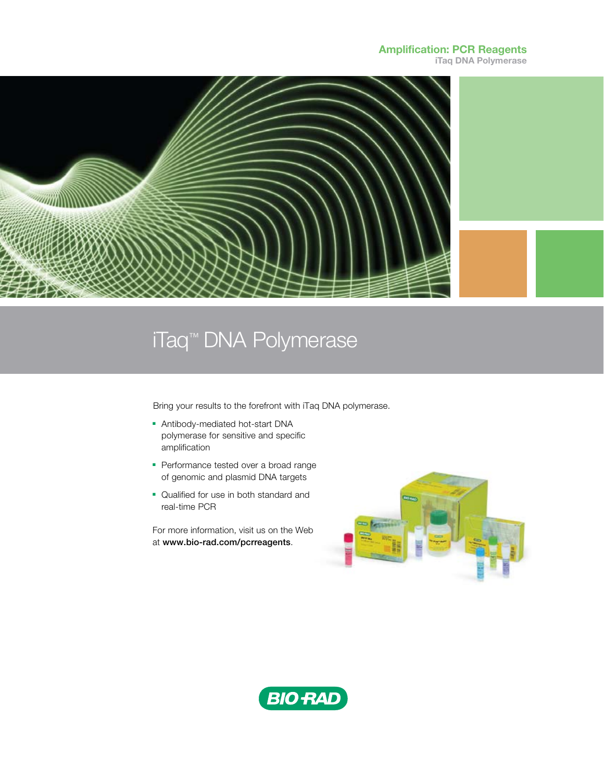## Amplification: PCR Reagents

iTaq DNA Polymerase



## iTaq™ DNA Polymerase

Bring your results to the forefront with iTaq DNA polymerase.

- **-** Antibody-mediated hot-start DNA polymerase for sensitive and specific amplification
- Performance tested over a broad range of genomic and plasmid DNA targets
- Qualified for use in both standard and real-time PCR

For more information, visit us on the Web at www.bio-rad.com/pcrreagents.